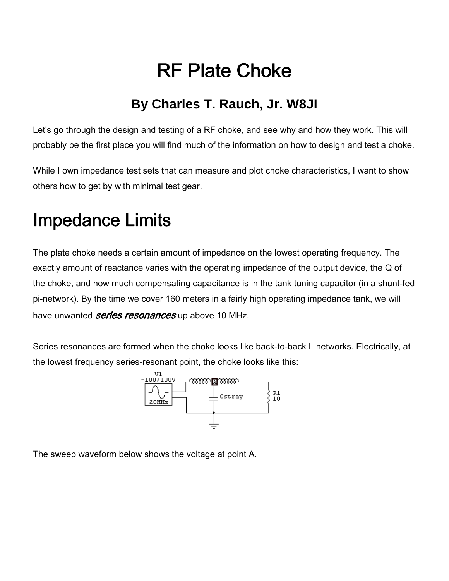# RF Plate Choke

## **By Charles T. Rauch, Jr. W8JI**

Let's go through the design and testing of a RF choke, and see why and how they work. This will probably be the first place you will find much of the information on how to design and test a choke.

While I own impedance test sets that can measure and plot choke characteristics, I want to show others how to get by with minimal test gear.

# Impedance Limits

The plate choke needs a certain amount of impedance on the lowest operating frequency. The exactly amount of reactance varies with the operating impedance of the output device, the Q of the choke, and how much compensating capacitance is in the tank tuning capacitor (in a shunt-fed pi-network). By the time we cover 160 meters in a fairly high operating impedance tank, we will have unwanted *series resonances* up above 10 MHz.

Series resonances are formed when the choke looks like back-to-back L networks. Electrically, at the lowest frequency series-resonant point, the choke looks like this:



The sweep waveform below shows the voltage at point A.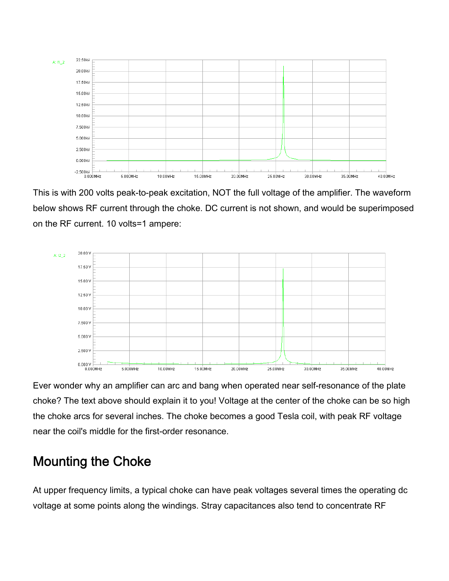

This is with 200 volts peak-to-peak excitation, NOT the full voltage of the amplifier. The waveform below shows RF current through the choke. DC current is not shown, and would be superimposed on the RF current. 10 volts=1 ampere:



Ever wonder why an amplifier can arc and bang when operated near self-resonance of the plate choke? The text above should explain it to you! Voltage at the center of the choke can be so high the choke arcs for several inches. The choke becomes a good Tesla coil, with peak RF voltage near the coil's middle for the first-order resonance.

#### Mounting the Choke

At upper frequency limits, a typical choke can have peak voltages several times the operating dc voltage at some points along the windings. Stray capacitances also tend to concentrate RF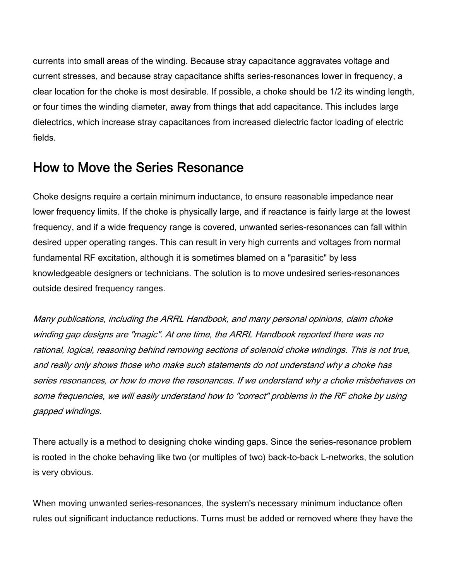currents into small areas of the winding. Because stray capacitance aggravates voltage and current stresses, and because stray capacitance shifts series-resonances lower in frequency, a clear location for the choke is most desirable. If possible, a choke should be 1/2 its winding length, or four times the winding diameter, away from things that add capacitance. This includes large dielectrics, which increase stray capacitances from increased dielectric factor loading of electric fields.

#### How to Move the Series Resonance

Choke designs require a certain minimum inductance, to ensure reasonable impedance near lower frequency limits. If the choke is physically large, and if reactance is fairly large at the lowest frequency, and if a wide frequency range is covered, unwanted series-resonances can fall within desired upper operating ranges. This can result in very high currents and voltages from normal fundamental RF excitation, although it is sometimes blamed on a "parasitic" by less knowledgeable designers or technicians. The solution is to move undesired series-resonances outside desired frequency ranges.

Many publications, including the ARRL Handbook, and many personal opinions, claim choke winding gap designs are "magic". At one time, the ARRL Handbook reported there was no rational, logical, reasoning behind removing sections of solenoid choke windings. This is not true, and really only shows those who make such statements do not understand why a choke has series resonances, or how to move the resonances. If we understand why a choke misbehaves on some frequencies, we will easily understand how to "correct" problems in the RF choke by using gapped windings.

There actually is a method to designing choke winding gaps. Since the series-resonance problem is rooted in the choke behaving like two (or multiples of two) back-to-back L-networks, the solution is very obvious.

When moving unwanted series-resonances, the system's necessary minimum inductance often rules out significant inductance reductions. Turns must be added or removed where they have the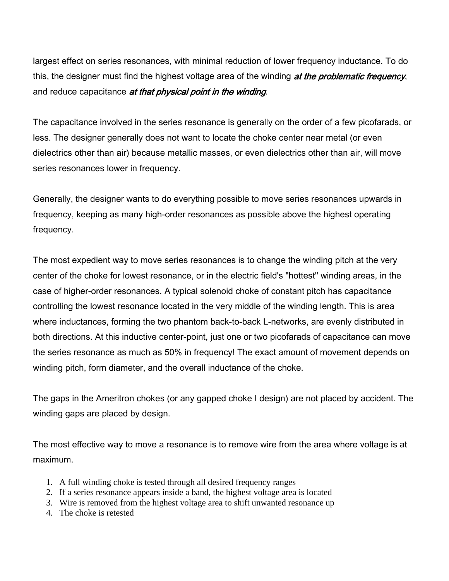largest effect on series resonances, with minimal reduction of lower frequency inductance. To do this, the designer must find the highest voltage area of the winding at the problematic frequency, and reduce capacitance at that physical point in the winding.

The capacitance involved in the series resonance is generally on the order of a few picofarads, or less. The designer generally does not want to locate the choke center near metal (or even dielectrics other than air) because metallic masses, or even dielectrics other than air, will move series resonances lower in frequency.

Generally, the designer wants to do everything possible to move series resonances upwards in frequency, keeping as many high-order resonances as possible above the highest operating frequency.

The most expedient way to move series resonances is to change the winding pitch at the very center of the choke for lowest resonance, or in the electric field's "hottest" winding areas, in the case of higher-order resonances. A typical solenoid choke of constant pitch has capacitance controlling the lowest resonance located in the very middle of the winding length. This is area where inductances, forming the two phantom back-to-back L-networks, are evenly distributed in both directions. At this inductive center-point, just one or two picofarads of capacitance can move the series resonance as much as 50% in frequency! The exact amount of movement depends on winding pitch, form diameter, and the overall inductance of the choke.

The gaps in the Ameritron chokes (or any gapped choke I design) are not placed by accident. The winding gaps are placed by design.

The most effective way to move a resonance is to remove wire from the area where voltage is at maximum.

- 1. A full winding choke is tested through all desired frequency ranges
- 2. If a series resonance appears inside a band, the highest voltage area is located
- 3. Wire is removed from the highest voltage area to shift unwanted resonance up
- 4. The choke is retested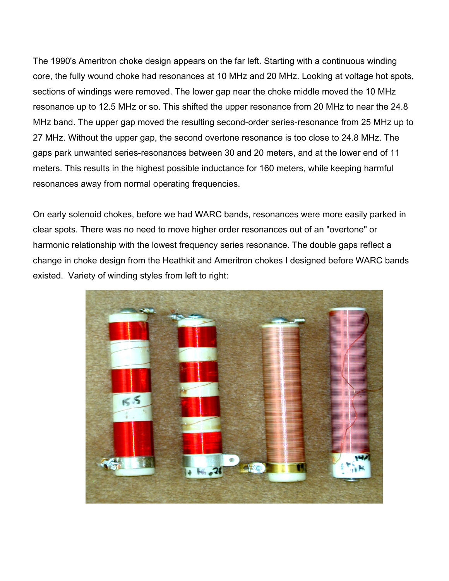The 1990's Ameritron choke design appears on the far left. Starting with a continuous winding core, the fully wound choke had resonances at 10 MHz and 20 MHz. Looking at voltage hot spots, sections of windings were removed. The lower gap near the choke middle moved the 10 MHz resonance up to 12.5 MHz or so. This shifted the upper resonance from 20 MHz to near the 24.8 MHz band. The upper gap moved the resulting second-order series-resonance from 25 MHz up to 27 MHz. Without the upper gap, the second overtone resonance is too close to 24.8 MHz. The gaps park unwanted series-resonances between 30 and 20 meters, and at the lower end of 11 meters. This results in the highest possible inductance for 160 meters, while keeping harmful resonances away from normal operating frequencies.

On early solenoid chokes, before we had WARC bands, resonances were more easily parked in clear spots. There was no need to move higher order resonances out of an "overtone" or harmonic relationship with the lowest frequency series resonance. The double gaps reflect a change in choke design from the Heathkit and Ameritron chokes I designed before WARC bands existed. Variety of winding styles from left to right:

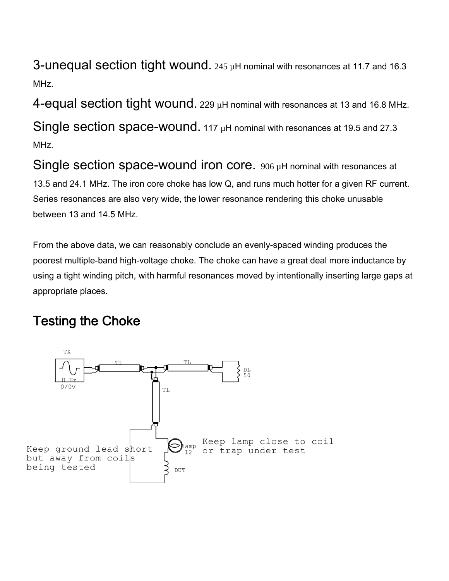3-unequal section tight wound. 245 µH nominal with resonances at 11.7 and 16.3 MHz.

4-equal section tight wound. 229  $\mu$ H nominal with resonances at 13 and 16.8 MHz.

Single section space-wound. 117 µH nominal with resonances at 19.5 and 27.3 MHz.

Single section space-wound iron core. 906 µH nominal with resonances at 13.5 and 24.1 MHz. The iron core choke has low Q, and runs much hotter for a given RF current. Series resonances are also very wide, the lower resonance rendering this choke unusable between 13 and 14.5 MHz.

From the above data, we can reasonably conclude an evenly-spaced winding produces the poorest multiple-band high-voltage choke. The choke can have a great deal more inductance by using a tight winding pitch, with harmful resonances moved by intentionally inserting large gaps at appropriate places.

# Testing the Choke

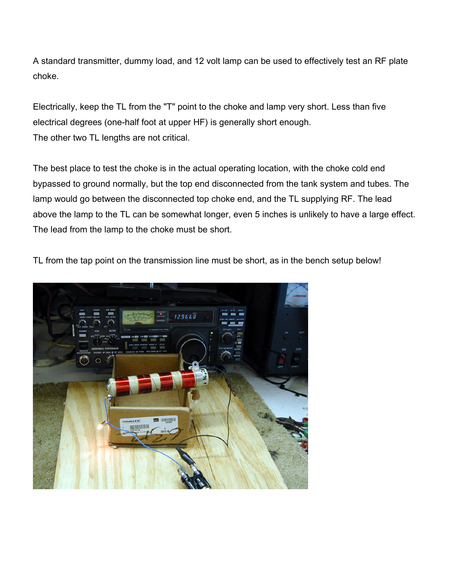A standard transmitter, dummy load, and 12 volt lamp can be used to effectively test an RF plate choke.

Electrically, keep the TL from the "T" point to the choke and lamp very short. Less than five electrical degrees (one-half foot at upper HF) is generally short enough. The other two TL lengths are not critical.

The best place to test the choke is in the actual operating location, with the choke cold end bypassed to ground normally, but the top end disconnected from the tank system and tubes. The lamp would go between the disconnected top choke end, and the TL supplying RF. The lead above the lamp to the TL can be somewhat longer, even 5 inches is unlikely to have a large effect. The lead from the lamp to the choke must be short.

TL from the tap point on the transmission line must be short, as in the bench setup below!

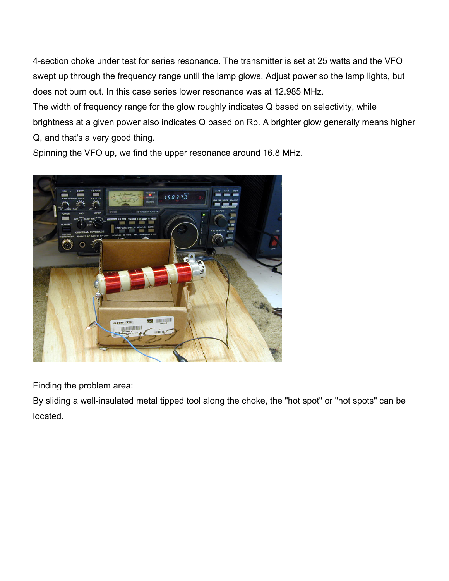4-section choke under test for series resonance. The transmitter is set at 25 watts and the VFO swept up through the frequency range until the lamp glows. Adjust power so the lamp lights, but does not burn out. In this case series lower resonance was at 12.985 MHz.

The width of frequency range for the glow roughly indicates Q based on selectivity, while brightness at a given power also indicates Q based on Rp. A brighter glow generally means higher Q, and that's a very good thing.

Spinning the VFO up, we find the upper resonance around 16.8 MHz.



Finding the problem area:

By sliding a well-insulated metal tipped tool along the choke, the "hot spot" or "hot spots" can be located.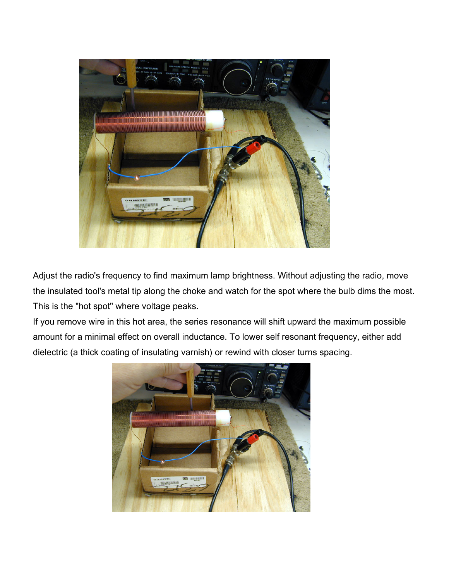

Adjust the radio's frequency to find maximum lamp brightness. Without adjusting the radio, move the insulated tool's metal tip along the choke and watch for the spot where the bulb dims the most. This is the "hot spot" where voltage peaks.

If you remove wire in this hot area, the series resonance will shift upward the maximum possible amount for a minimal effect on overall inductance. To lower self resonant frequency, either add dielectric (a thick coating of insulating varnish) or rewind with closer turns spacing.

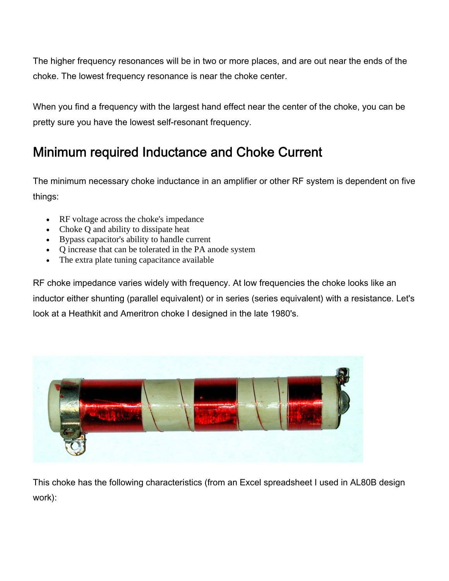The higher frequency resonances will be in two or more places, and are out near the ends of the choke. The lowest frequency resonance is near the choke center.

When you find a frequency with the largest hand effect near the center of the choke, you can be pretty sure you have the lowest self-resonant frequency.

## Minimum required Inductance and Choke Current

The minimum necessary choke inductance in an amplifier or other RF system is dependent on five things:

- RF voltage across the choke's impedance
- Choke Q and ability to dissipate heat
- Bypass capacitor's ability to handle current
- Q increase that can be tolerated in the PA anode system
- The extra plate tuning capacitance available

RF choke impedance varies widely with frequency. At low frequencies the choke looks like an inductor either shunting (parallel equivalent) or in series (series equivalent) with a resistance. Let's look at a Heathkit and Ameritron choke I designed in the late 1980's.



This choke has the following characteristics (from an Excel spreadsheet I used in AL80B design work):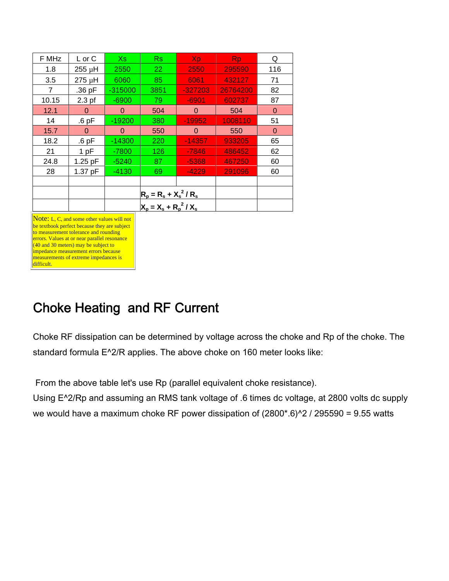| F MHz | $L$ or $C$ | Xs.       | Rs                        | Xp        | <b>Rp</b> | Q           |
|-------|------------|-----------|---------------------------|-----------|-----------|-------------|
| 1.8   | 255 µH     | 2550      | 22                        | 2550      | 295590    | 116         |
| 3.5   | 275 µH     | 6060      | 85                        | 6061      | 432127    | 71          |
| 7     | .36 pF     | $-315000$ | 3851                      | $-327203$ | 26764200  | 82          |
| 10.15 | $2.3$ pf   | $-6900$   | 79                        | $-6901$   | 602737    | 87          |
| 12.1  | $\Omega$   | 0         | 504                       | 0         | 504       | $\mathbf 0$ |
| 14    | $.6$ pF    | $-19200$  | 380                       | $-19952$  | 1008110   | 51          |
| 15.7  | 0          | 0         | 550                       | 0         | 550       | $\Omega$    |
| 18.2  | $.6$ pF    | $-14300$  | 220                       | $-14357$  | 933205    | 65          |
| 21    | 1pF        | $-7800$   | 126                       | $-7846$   | 486452    | 62          |
| 24.8  | 1.25 pF    | $-5240$   | 87                        | $-5368$   | 467250    | 60          |
| 28    | 1.37 pF    | $-4130$   | 69                        | $-4229$   | 291096    | 60          |
|       |            |           |                           |           |           |             |
|       |            |           | $R_p = R_s + X_s^2 / R_s$ |           |           |             |
|       |            |           | $X_p = X_s + R_p^2 / X_s$ |           |           |             |

Note: L, C, and some other values will not be textbook perfect because they are subject to measurement tolerance and rounding errors. Values at or near parallel resonance (40 and 30 meters) may be subject to impedance measurement errors because measurements of extreme impedances is difficult.

### Choke Heating and RF Current

Choke RF dissipation can be determined by voltage across the choke and Rp of the choke. The standard formula E^2/R applies. The above choke on 160 meter looks like:

From the above table let's use Rp (parallel equivalent choke resistance).

Using E^2/Rp and assuming an RMS tank voltage of .6 times dc voltage, at 2800 volts dc supply we would have a maximum choke RF power dissipation of  $(2800^*.\,6)^2$  / 295590 = 9.55 watts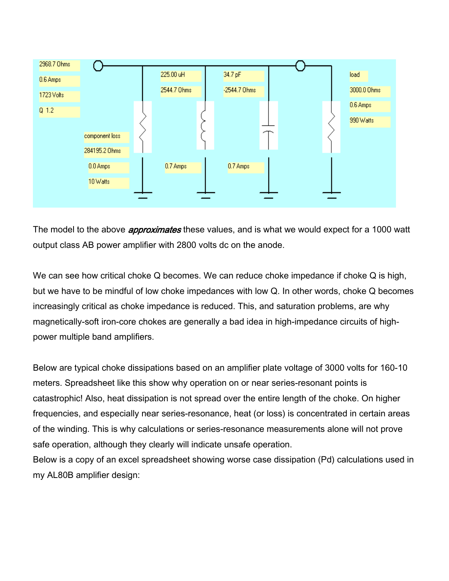

The model to the above *approximates* these values, and is what we would expect for a 1000 watt output class AB power amplifier with 2800 volts dc on the anode.

We can see how critical choke Q becomes. We can reduce choke impedance if choke Q is high, but we have to be mindful of low choke impedances with low Q. In other words, choke Q becomes increasingly critical as choke impedance is reduced. This, and saturation problems, are why magnetically-soft iron-core chokes are generally a bad idea in high-impedance circuits of highpower multiple band amplifiers.

Below are typical choke dissipations based on an amplifier plate voltage of 3000 volts for 160-10 meters. Spreadsheet like this show why operation on or near series-resonant points is catastrophic! Also, heat dissipation is not spread over the entire length of the choke. On higher frequencies, and especially near series-resonance, heat (or loss) is concentrated in certain areas of the winding. This is why calculations or series-resonance measurements alone will not prove safe operation, although they clearly will indicate unsafe operation.

Below is a copy of an excel spreadsheet showing worse case dissipation (Pd) calculations used in my AL80B amplifier design: